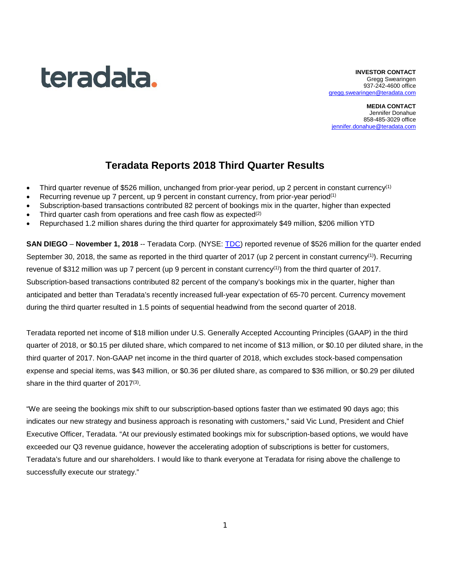# teradata.

**INVESTOR CONTACT** Gregg Swearingen 937-242-4600 office [gregg.swearingen@teradata.com](mailto:gregg.swearingen@teradata.com)

**MEDIA CONTACT** Jennifer Donahue 858-485-3029 office [jennifer.donahue@teradata.com](mailto:jennifer.donahue@teradata.com)

# **Teradata Reports 2018 Third Quarter Results**

- Third quarter revenue of \$526 million, unchanged from prior-year period, up 2 percent in constant currency(1)
- Recurring revenue up 7 percent, up 9 percent in constant currency, from prior-year period<sup>(1)</sup>
- Subscription-based transactions contributed 82 percent of bookings mix in the quarter, higher than expected
- Third quarter cash from operations and free cash flow as expected<sup>(2)</sup>
- Repurchased 1.2 million shares during the third quarter for approximately \$49 million, \$206 million YTD

**SAN DIEGO** – **November 1, 2018** -- Teradata Corp. (NYSE: [TDC\)](http://investor.teradata.com/about-teradata/default.aspx) reported revenue of \$526 million for the quarter ended September 30, 2018, the same as reported in the third quarter of 2017 (up 2 percent in constant currency<sup>(1)</sup>). Recurring revenue of \$312 million was up 7 percent (up 9 percent in constant currency<sup>(1)</sup>) from the third quarter of 2017. Subscription-based transactions contributed 82 percent of the company's bookings mix in the quarter, higher than anticipated and better than Teradata's recently increased full-year expectation of 65-70 percent. Currency movement during the third quarter resulted in 1.5 points of sequential headwind from the second quarter of 2018.

Teradata reported net income of \$18 million under U.S. Generally Accepted Accounting Principles (GAAP) in the third quarter of 2018, or \$0.15 per diluted share, which compared to net income of \$13 million, or \$0.10 per diluted share, in the third quarter of 2017. Non-GAAP net income in the third quarter of 2018, which excludes stock-based compensation expense and special items, was \$43 million, or \$0.36 per diluted share, as compared to \$36 million, or \$0.29 per diluted share in the third quarter of  $2017^{(3)}$ .

"We are seeing the bookings mix shift to our subscription-based options faster than we estimated 90 days ago; this indicates our new strategy and business approach is resonating with customers," said Vic Lund, President and Chief Executive Officer, Teradata. "At our previously estimated bookings mix for subscription-based options, we would have exceeded our Q3 revenue guidance, however the accelerating adoption of subscriptions is better for customers, Teradata's future and our shareholders. I would like to thank everyone at Teradata for rising above the challenge to successfully execute our strategy."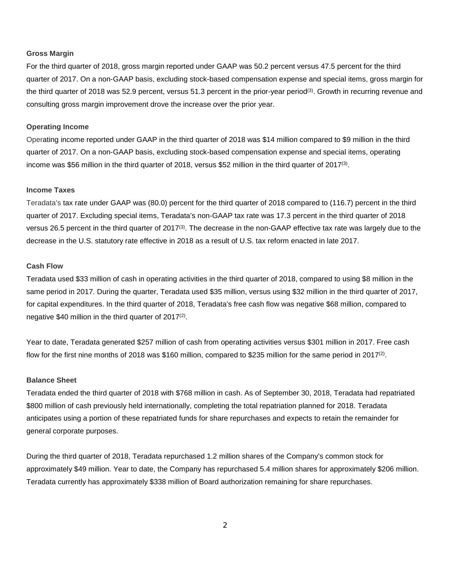#### **Gross Margin**

For the third quarter of 2018, gross margin reported under GAAP was 50.2 percent versus 47.5 percent for the third quarter of 2017. On a non-GAAP basis, excluding stock-based compensation expense and special items, gross margin for the third quarter of 2018 was 52.9 percent, versus 51.3 percent in the prior-year period<sup>(3)</sup>. Growth in recurring revenue and consulting gross margin improvement drove the increase over the prior year.

#### **Operating Income**

Operating income reported under GAAP in the third quarter of 2018 was \$14 million compared to \$9 million in the third quarter of 2017. On a non-GAAP basis, excluding stock-based compensation expense and special items, operating income was \$56 million in the third quarter of 2018, versus \$52 million in the third quarter of 2017(3).

#### **Income Taxes**

Teradata's tax rate under GAAP was (80.0) percent for the third quarter of 2018 compared to (116.7) percent in the third quarter of 2017. Excluding special items, Teradata's non-GAAP tax rate was 17.3 percent in the third quarter of 2018 versus 26.5 percent in the third quarter of 2017⑶. The decrease in the non-GAAP effective tax rate was largely due to the decrease in the U.S. statutory rate effective in 2018 as a result of U.S. tax reform enacted in late 2017.

#### **Cash Flow**

Teradata used \$33 million of cash in operating activities in the third quarter of 2018, compared to using \$8 million in the same period in 2017. During the quarter, Teradata used \$35 million, versus using \$32 million in the third quarter of 2017, for capital expenditures. In the third quarter of 2018, Teradata's free cash flow was negative \$68 million, compared to negative \$40 million in the third quarter of 2017<sup>(2)</sup>.

Year to date, Teradata generated \$257 million of cash from operating activities versus \$301 million in 2017. Free cash flow for the first nine months of 2018 was \$160 million, compared to \$235 million for the same period in 2017<sup>(2)</sup>.

#### **Balance Sheet**

Teradata ended the third quarter of 2018 with \$768 million in cash. As of September 30, 2018, Teradata had repatriated \$800 million of cash previously held internationally, completing the total repatriation planned for 2018. Teradata anticipates using a portion of these repatriated funds for share repurchases and expects to retain the remainder for general corporate purposes.

During the third quarter of 2018, Teradata repurchased 1.2 million shares of the Company's common stock for approximately \$49 million. Year to date, the Company has repurchased 5.4 million shares for approximately \$206 million. Teradata currently has approximately \$338 million of Board authorization remaining for share repurchases.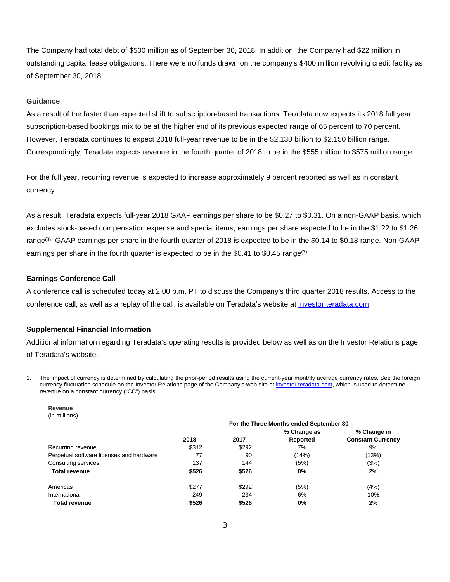The Company had total debt of \$500 million as of September 30, 2018. In addition, the Company had \$22 million in outstanding capital lease obligations. There were no funds drawn on the company's \$400 million revolving credit facility as of September 30, 2018.

#### **Guidance**

As a result of the faster than expected shift to subscription-based transactions, Teradata now expects its 2018 full year subscription-based bookings mix to be at the higher end of its previous expected range of 65 percent to 70 percent. However, Teradata continues to expect 2018 full-year revenue to be in the \$2.130 billion to \$2.150 billion range. Correspondingly, Teradata expects revenue in the fourth quarter of 2018 to be in the \$555 million to \$575 million range.

For the full year, recurring revenue is expected to increase approximately 9 percent reported as well as in constant currency.

As a result, Teradata expects full-year 2018 GAAP earnings per share to be \$0.27 to \$0.31. On a non-GAAP basis, which excludes stock-based compensation expense and special items, earnings per share expected to be in the \$1.22 to \$1.26 range<sup>(3)</sup>. GAAP earnings per share in the fourth quarter of 2018 is expected to be in the \$0.14 to \$0.18 range. Non-GAAP earnings per share in the fourth quarter is expected to be in the \$0.41 to \$0.45 range<sup>(3)</sup>.

#### **Earnings Conference Call**

A conference call is scheduled today at 2:00 p.m. PT to discuss the Company's third quarter 2018 results. Access to the conference call, as well as a replay of the call, is available on Teradata's website at [investor.teradata.com.](http://investor.teradata.com/about-teradata/default.aspx#top)

#### **Supplemental Financial Information**

Additional information regarding Teradata's operating results is provided below as well as on the Investor Relations page of Teradata's website.

1. The impact of currency is determined by calculating the prior-period results using the current-year monthly average currency rates. See the foreign currency fluctuation schedule on the Investor Relations page of the Company's web site a[t investor.teradata.com,](http://investor.teradata.com/about-teradata/default.aspx#top) which is used to determine revenue on a constant currency ("CC") basis.

| Revenue       |
|---------------|
| (in millions) |

|                                          | For the Three Months ended September 30 |       |             |                          |  |  |  |
|------------------------------------------|-----------------------------------------|-------|-------------|--------------------------|--|--|--|
|                                          |                                         |       | % Change as | % Change in              |  |  |  |
|                                          | 2018                                    | 2017  | Reported    | <b>Constant Currency</b> |  |  |  |
| Recurring revenue                        | \$312                                   | \$292 | 7%          | 9%                       |  |  |  |
| Perpetual software licenses and hardware | 77                                      | 90    | (14%)       | (13%)                    |  |  |  |
| Consulting services                      | 137                                     | 144   | (5%)        | (3%)                     |  |  |  |
| <b>Total revenue</b>                     | \$526                                   | \$526 | $0\%$       | 2%                       |  |  |  |
| Americas                                 | \$277                                   | \$292 | (5%)        | (4%)                     |  |  |  |
| International                            | 249                                     | 234   | 6%          | 10%                      |  |  |  |
| <b>Total revenue</b>                     | \$526                                   | \$526 | $0\%$       | 2%                       |  |  |  |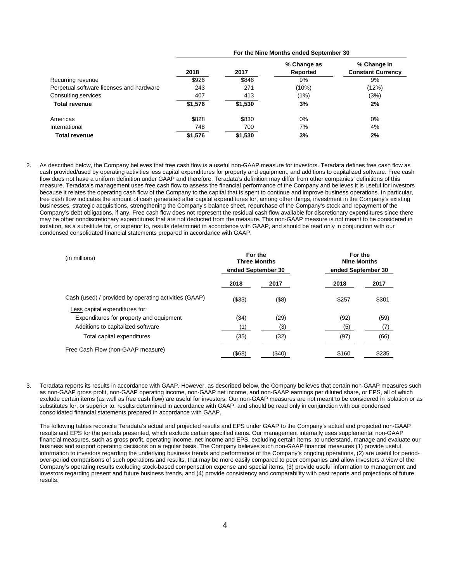|                                          | For the Nine Months ended September 30 |         |                         |                                         |  |  |  |  |
|------------------------------------------|----------------------------------------|---------|-------------------------|-----------------------------------------|--|--|--|--|
|                                          | 2018                                   | 2017    | % Change as<br>Reported | % Change in<br><b>Constant Currency</b> |  |  |  |  |
| Recurring revenue                        | \$926                                  | \$846   | 9%                      | 9%                                      |  |  |  |  |
| Perpetual software licenses and hardware | 243                                    | 271     | (10%)                   | (12%)                                   |  |  |  |  |
| Consulting services                      | 407                                    | 413     | (1%)                    | (3%)                                    |  |  |  |  |
| <b>Total revenue</b>                     | \$1,576                                | \$1,530 | 3%                      | 2%                                      |  |  |  |  |
| Americas                                 | \$828                                  | \$830   | 0%                      | $0\%$                                   |  |  |  |  |
| International                            | 748                                    | 700     | 7%                      | 4%                                      |  |  |  |  |
| <b>Total revenue</b>                     | \$1,576                                | \$1,530 | 3%                      | 2%                                      |  |  |  |  |

2. As described below, the Company believes that free cash flow is a useful non-GAAP measure for investors. Teradata defines free cash flow as cash provided/used by operating activities less capital expenditures for property and equipment, and additions to capitalized software. Free cash flow does not have a uniform definition under GAAP and therefore, Teradata's definition may differ from other companies' definitions of this measure. Teradata's management uses free cash flow to assess the financial performance of the Company and believes it is useful for investors because it relates the operating cash flow of the Company to the capital that is spent to continue and improve business operations. In particular, free cash flow indicates the amount of cash generated after capital expenditures for, among other things, investment in the Company's existing businesses, strategic acquisitions, strengthening the Company's balance sheet, repurchase of the Company's stock and repayment of the Company's debt obligations, if any. Free cash flow does not represent the residual cash flow available for discretionary expenditures since there may be other nondiscretionary expenditures that are not deducted from the measure. This non-GAAP measure is not meant to be considered in isolation, as a substitute for, or superior to, results determined in accordance with GAAP, and should be read only in conjunction with our condensed consolidated financial statements prepared in accordance with GAAP.

| (in millions)                                         | For the<br><b>Three Months</b><br>ended September 30 |           |       |       |  | For the<br><b>Nine Months</b><br>ended September 30 |  |
|-------------------------------------------------------|------------------------------------------------------|-----------|-------|-------|--|-----------------------------------------------------|--|
|                                                       | 2018                                                 | 2017      | 2018  | 2017  |  |                                                     |  |
| Cash (used) / provided by operating activities (GAAP) | (\$33)                                               | (\$8)     | \$257 | \$301 |  |                                                     |  |
| Less capital expenditures for:                        |                                                      |           |       |       |  |                                                     |  |
| Expenditures for property and equipment               | (34)                                                 | (29)      | (92)  | (59)  |  |                                                     |  |
| Additions to capitalized software                     | (1)                                                  | (3)       | (5)   | (7)   |  |                                                     |  |
| Total capital expenditures                            | (35)                                                 | (32)      | (97)  | (66)  |  |                                                     |  |
| Free Cash Flow (non-GAAP measure)                     | (\$68)                                               | $($ \$40) | \$160 | \$235 |  |                                                     |  |

3. Teradata reports its results in accordance with GAAP. However, as described below, the Company believes that certain non-GAAP measures such as non-GAAP gross profit, non-GAAP operating income, non-GAAP net income, and non-GAAP earnings per diluted share, or EPS, all of which exclude certain items (as well as free cash flow) are useful for investors. Our non-GAAP measures are not meant to be considered in isolation or as substitutes for, or superior to, results determined in accordance with GAAP, and should be read only in conjunction with our condensed consolidated financial statements prepared in accordance with GAAP.

The following tables reconcile Teradata's actual and projected results and EPS under GAAP to the Company's actual and projected non-GAAP results and EPS for the periods presented, which exclude certain specified items. Our management internally uses supplemental non-GAAP financial measures, such as gross profit, operating income, net income and EPS, excluding certain items, to understand, manage and evaluate our business and support operating decisions on a regular basis. The Company believes such non-GAAP financial measures (1) provide useful information to investors regarding the underlying business trends and performance of the Company's ongoing operations, (2) are useful for periodover-period comparisons of such operations and results, that may be more easily compared to peer companies and allow investors a view of the Company's operating results excluding stock-based compensation expense and special items, (3) provide useful information to management and investors regarding present and future business trends, and (4) provide consistency and comparability with past reports and projections of future results.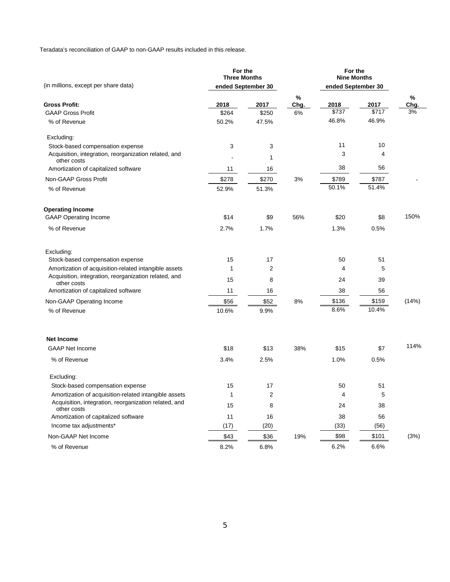Teradata's reconciliation of GAAP to non-GAAP results included in this release.

| (in millions, except per share data)                                 | For the<br><b>Three Months</b> | ended September 30      |           | For the<br><b>Nine Months</b><br>ended September 30 |       |           |
|----------------------------------------------------------------------|--------------------------------|-------------------------|-----------|-----------------------------------------------------|-------|-----------|
|                                                                      |                                |                         |           |                                                     |       |           |
| <b>Gross Profit:</b>                                                 | 2018                           | 2017                    | %<br>Chg. | 2018                                                | 2017  | %<br>Chg. |
| <b>GAAP Gross Profit</b>                                             | \$264                          | \$250                   | 6%        | \$737                                               | \$717 | 3%        |
| % of Revenue                                                         | 50.2%                          | 47.5%                   |           | 46.8%                                               | 46.9% |           |
| Excluding:                                                           |                                |                         |           |                                                     |       |           |
| Stock-based compensation expense                                     | 3                              | 3                       |           | 11                                                  | 10    |           |
| Acquisition, integration, reorganization related, and<br>other costs |                                | 1                       |           | 3                                                   | 4     |           |
| Amortization of capitalized software                                 | 11                             | 16                      |           | 38                                                  | 56    |           |
| Non-GAAP Gross Profit                                                | \$278                          | \$270                   | 3%        | \$789                                               | \$787 |           |
| % of Revenue                                                         | 52.9%                          | 51.3%                   |           | 50.1%                                               | 51.4% |           |
| <b>Operating Income</b>                                              |                                |                         |           |                                                     |       |           |
| <b>GAAP Operating Income</b>                                         | \$14                           | \$9                     | 56%       | \$20                                                | \$8   | 150%      |
| % of Revenue                                                         | 2.7%                           | 1.7%                    |           | 1.3%                                                | 0.5%  |           |
| Excluding:                                                           |                                |                         |           |                                                     |       |           |
| Stock-based compensation expense                                     | 15                             | 17                      |           | 50                                                  | 51    |           |
| Amortization of acquisition-related intangible assets                | 1                              | $\overline{\mathbf{c}}$ |           | 4                                                   | 5     |           |
| Acquisition, integration, reorganization related, and<br>other costs | 15                             | 8                       |           | 24                                                  | 39    |           |
| Amortization of capitalized software                                 | 11                             | 16                      |           | 38                                                  | 56    |           |
| Non-GAAP Operating Income                                            | \$56                           | \$52                    | 8%        | \$136                                               | \$159 | (14%)     |
| % of Revenue                                                         | 10.6%                          | 9.9%                    |           | 8.6%                                                | 10.4% |           |
| <b>Net Income</b>                                                    |                                |                         |           |                                                     |       |           |
| <b>GAAP Net Income</b>                                               | \$18                           | \$13                    | 38%       | \$15                                                | \$7   | 114%      |
| % of Revenue                                                         | 3.4%                           | 2.5%                    |           | 1.0%                                                | 0.5%  |           |
| Excluding:                                                           |                                |                         |           |                                                     |       |           |
| Stock-based compensation expense                                     | 15                             | 17                      |           | 50                                                  | 51    |           |
| Amortization of acquisition-related intangible assets                | $\mathbf{1}$                   | $\mathbf 2$             |           | 4                                                   | 5     |           |
| Acquisition, integration, reorganization related, and<br>other costs | 15                             | 8                       |           | 24                                                  | 38    |           |
| Amortization of capitalized software                                 | 11                             | 16                      |           | 38                                                  | 56    |           |
| Income tax adjustments*                                              | (17)                           | (20)                    |           | (33)                                                | (56)  |           |
| Non-GAAP Net Income                                                  | \$43                           | \$36                    | 19%       | \$98                                                | \$101 | (3%)      |
| % of Revenue                                                         | 8.2%                           | 6.8%                    |           | 6.2%                                                | 6.6%  |           |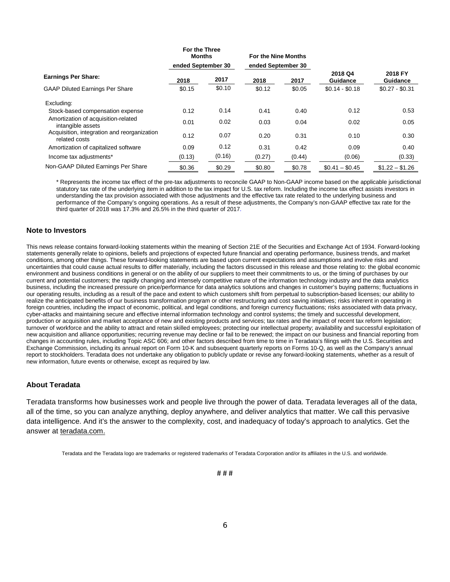|                                                              | For the Three<br><b>Months</b> |        | For the Nine Months |        |                     |                            |
|--------------------------------------------------------------|--------------------------------|--------|---------------------|--------|---------------------|----------------------------|
|                                                              | ended September 30             |        | ended September 30  |        |                     |                            |
| <b>Earnings Per Share:</b>                                   | 2018                           | 2017   | 2018                | 2017   | 2018 Q4<br>Guidance | 2018 FY<br><b>Guidance</b> |
| <b>GAAP Diluted Earnings Per Share</b>                       | \$0.15                         | \$0.10 | \$0.12              | \$0.05 | $$0.14 - $0.18$     | $$0.27 - $0.31$            |
| Excluding:                                                   |                                |        |                     |        |                     |                            |
| Stock-based compensation expense                             | 0.12                           | 0.14   | 0.41                | 0.40   | 0.12                | 0.53                       |
| Amortization of acquisition-related<br>intangible assets     | 0.01                           | 0.02   | 0.03                | 0.04   | 0.02                | 0.05                       |
| Acquisition, integration and reorganization<br>related costs | 0.12                           | 0.07   | 0.20                | 0.31   | 0.10                | 0.30                       |
| Amortization of capitalized software                         | 0.09                           | 0.12   | 0.31                | 0.42   | 0.09                | 0.40                       |
| Income tax adjustments*                                      | (0.13)                         | (0.16) | (0.27)              | (0.44) | (0.06)              | (0.33)                     |
| Non-GAAP Diluted Earnings Per Share                          | \$0.36                         | \$0.29 | \$0.80              | \$0.78 | $$0.41 - $0.45$     | $$1.22 - $1.26$            |

\* Represents the income tax effect of the pre-tax adjustments to reconcile GAAP to Non-GAAP income based on the applicable jurisdictional statutory tax rate of the underlying item in addition to the tax impact for U.S. tax reform. Including the income tax effect assists investors in understanding the tax provision associated with those adjustments and the effective tax rate related to the underlying business and performance of the Company's ongoing operations. As a result of these adjustments, the Company's non-GAAP effective tax rate for the third quarter of 2018 was 17.3% and 26.5% in the third quarter of 2017.

#### **Note to Investors**

This news release contains forward-looking statements within the meaning of Section 21E of the Securities and Exchange Act of 1934. Forward-looking statements generally relate to opinions, beliefs and projections of expected future financial and operating performance, business trends, and market conditions, among other things. These forward-looking statements are based upon current expectations and assumptions and involve risks and uncertainties that could cause actual results to differ materially, including the factors discussed in this release and those relating to: the global economic environment and business conditions in general or on the ability of our suppliers to meet their commitments to us, or the timing of purchases by our current and potential customers; the rapidly changing and intensely competitive nature of the information technology industry and the data analytics business, including the increased pressure on price/performance for data analytics solutions and changes in customer's buying patterns; fluctuations in our operating results, including as a result of the pace and extent to which customers shift from perpetual to subscription-based licenses; our ability to realize the anticipated benefits of our business transformation program or other restructuring and cost saving initiatives; risks inherent in operating in foreign countries, including the impact of economic, political, and legal conditions, and foreign currency fluctuations; risks associated with data privacy, cyber-attacks and maintaining secure and effective internal information technology and control systems; the timely and successful development, production or acquisition and market acceptance of new and existing products and services; tax rates and the impact of recent tax reform legislation; turnover of workforce and the ability to attract and retain skilled employees; protecting our intellectual property; availability and successful exploitation of new acquisition and alliance opportunities; recurring revenue may decline or fail to be renewed; the impact on our business and financial reporting from changes in accounting rules, including Topic ASC 606; and other factors described from time to time in Teradata's filings with the U.S. Securities and Exchange Commission, including its annual report on Form 10-K and subsequent quarterly reports on Forms 10-Q, as well as the Company's annual report to stockholders. Teradata does not undertake any obligation to publicly update or revise any forward-looking statements, whether as a result of new information, future events or otherwise, except as required by law.

#### **About Teradata**

Teradata transforms how businesses work and people live through the power of data. Teradata leverages all of the data, all of the time, so you can analyze anything, deploy anywhere, and deliver analytics that matter. We call this pervasive data intelligence. And it's the answer to the complexity, cost, and inadequacy of today's approach to analytics. Get the answer at [teradata.com.](http://www.teradata.com/)

Teradata and the Teradata logo are trademarks or registered trademarks of Teradata Corporation and/or its affiliates in the U.S. and worldwide.

6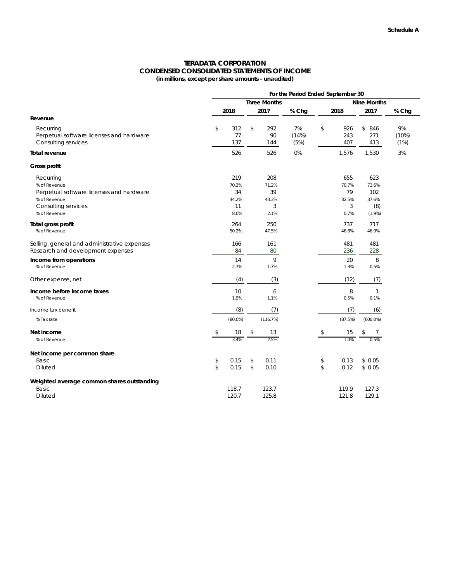#### **TERADATA CORPORATION CONDENSED CONSOLIDATED STATEMENTS OF INCOME (in millions, except per share amounts - unaudited)**

|                                                                                                                              | For the Period Ended September 30         |                                  |                     |                                  |                                      |                     |  |
|------------------------------------------------------------------------------------------------------------------------------|-------------------------------------------|----------------------------------|---------------------|----------------------------------|--------------------------------------|---------------------|--|
|                                                                                                                              |                                           | <b>Three Months</b>              |                     |                                  | <b>Nine Months</b>                   |                     |  |
|                                                                                                                              | 2018                                      | 2017                             | % Chg               | 2018                             | 2017                                 | % Chg               |  |
| Revenue                                                                                                                      |                                           |                                  |                     |                                  |                                      |                     |  |
| Recurring<br>Perpetual software licenses and hardware<br>Consulting services                                                 | \$<br>312<br>77<br>137                    | \$<br>292<br>90<br>144           | 7%<br>(14%)<br>(5%) | \$<br>926<br>243<br>407          | \$<br>846<br>271<br>413              | 9%<br>(10%)<br>(1%) |  |
| <b>Total revenue</b>                                                                                                         | 526                                       | 526                              | 0%                  | 1,576                            | 1,530                                | 3%                  |  |
| Gross profit                                                                                                                 |                                           |                                  |                     |                                  |                                      |                     |  |
| Recurring<br>% of Revenue<br>Perpetual software licenses and hardware<br>% of Revenue<br>Consulting services<br>% of Revenue | 219<br>70.2%<br>34<br>44.2%<br>11<br>8.0% | 208<br>71.2%<br>39<br>43.3%<br>3 |                     | 655<br>70.7%<br>79<br>32.5%<br>3 | 623<br>73.6%<br>102<br>37.6%<br>(8)  |                     |  |
| Total gross profit<br>% of Revenue                                                                                           | 264<br>50.2%                              | 2.1%<br>250<br>47.5%             |                     | 0.7%<br>737<br>46.8%             | $(1.9\%)$<br>717<br>46.9%            |                     |  |
| Selling, general and administrative expenses<br>Research and development expenses                                            | 166<br>84                                 | 161<br>80                        |                     | 481<br>236                       | 481<br>228                           |                     |  |
| Income from operations<br>% of Revenue                                                                                       | 14<br>2.7%                                | 9<br>1.7%                        |                     | 20<br>1.3%                       | 8<br>0.5%                            |                     |  |
| Other expense, net                                                                                                           | (4)                                       | (3)                              |                     | (12)                             | (7)                                  |                     |  |
| Income before income taxes<br>% of Revenue                                                                                   | 10<br>1.9%                                | 6<br>1.1%                        |                     | 8<br>0.5%                        | 1<br>0.1%                            |                     |  |
| Income tax benefit                                                                                                           | (8)                                       | (7)                              |                     | (7)                              | (6)                                  |                     |  |
| % Tax rate                                                                                                                   | $(80.0\%)$                                | (116.7%)                         |                     | (87.5%)                          | $(600.0\%)$                          |                     |  |
| Net income<br>% of Revenue                                                                                                   | $\frac{18}{3.4\%}$                        | 13<br>2.5%                       |                     | \$                               | $\frac{15}{1.0\%}$ $\overset{\$}{=}$ |                     |  |
| Net income per common share<br>Basic<br><b>Diluted</b>                                                                       | \$<br>0.15<br>\$<br>0.15                  | 0.11<br>\$<br>\$<br>0.10         |                     | \$<br>0.13<br>\$<br>0.12         | \$0.05<br>\$0.05                     |                     |  |
| Weighted average common shares outstanding<br>Basic<br>Diluted                                                               | 118.7<br>120.7                            | 123.7<br>125.8                   |                     | 119.9<br>121.8                   | 127.3<br>129.1                       |                     |  |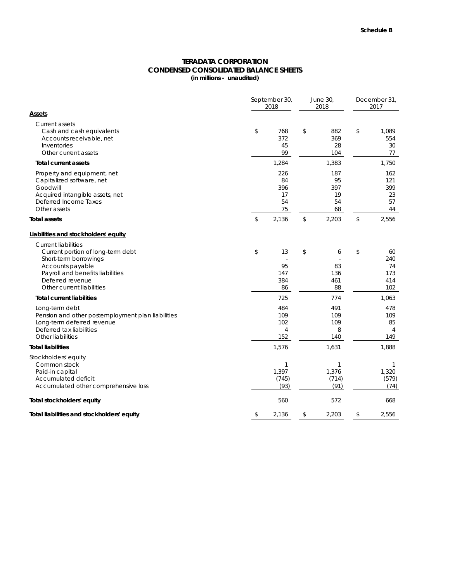## **CONDENSED CONSOLIDATED BALANCE SHEETS TERADATA CORPORATION**

**(in millions - unaudited)**

|                                                                                                                                                                                                   | September 30,<br>2018 | June 30,<br>2018                           | December 31,<br>2017                   |                |                                      |
|---------------------------------------------------------------------------------------------------------------------------------------------------------------------------------------------------|-----------------------|--------------------------------------------|----------------------------------------|----------------|--------------------------------------|
| Assets                                                                                                                                                                                            |                       |                                            |                                        |                |                                      |
| Current assets<br>Cash and cash equivalents<br>Accounts receivable, net<br>Inventories<br>Other current assets                                                                                    | \$                    | 768<br>372<br>45<br>99                     | \$<br>882<br>369<br>28<br>104          | \$             | 1,089<br>554<br>30<br>77             |
| <b>Total current assets</b>                                                                                                                                                                       |                       | 1,284                                      | 1,383                                  |                | 1,750                                |
| Property and equipment, net<br>Capitalized software, net<br>Goodwill<br>Acquired intangible assets, net<br>Deferred Income Taxes<br>Other assets                                                  |                       | 226<br>84<br>396<br>17<br>54<br>75         | 187<br>95<br>397<br>19<br>54<br>68     |                | 162<br>121<br>399<br>23<br>57<br>44  |
| <b>Total assets</b>                                                                                                                                                                               | \$                    | 2,136                                      | \$<br>2,203                            | $\updownarrow$ | 2,556                                |
| Liabilities and stockholders' equity                                                                                                                                                              |                       |                                            |                                        |                |                                      |
| <b>Current liabilities</b><br>Current portion of long-term debt<br>Short-term borrowings<br>Accounts payable<br>Payroll and benefits liabilities<br>Deferred revenue<br>Other current liabilities | \$                    | 13<br>95<br>147<br>384<br>86               | \$<br>6<br>83<br>136<br>461<br>88      | \$             | 60<br>240<br>74<br>173<br>414<br>102 |
| <b>Total current liabilities</b>                                                                                                                                                                  |                       | 725                                        | 774                                    |                | 1,063                                |
| Long-term debt<br>Pension and other postemployment plan liabilities<br>Long-term deferred revenue<br>Deferred tax liabilities<br>Other liabilities                                                |                       | 484<br>109<br>102<br>$\overline{4}$<br>152 | 491<br>109<br>109<br>8<br>140          |                | 478<br>109<br>85<br>4<br>149         |
| <b>Total liabilities</b>                                                                                                                                                                          |                       | 1,576                                      | 1,631                                  |                | 1,888                                |
| Stockholders' equity<br>Common stock<br>Paid-in capital<br>Accumulated deficit<br>Accumulated other comprehensive loss                                                                            |                       | 1<br>1,397<br>(745)<br>(93)                | $\mathbf{1}$<br>1,376<br>(714)<br>(91) |                | 1<br>1,320<br>(579)<br>(74)          |
| Total stockholders' equity                                                                                                                                                                        |                       | 560                                        | 572                                    |                | 668                                  |
| Total liabilities and stockholders' equity                                                                                                                                                        | \$                    | 2,136                                      | \$<br>2,203                            | \$             | 2,556                                |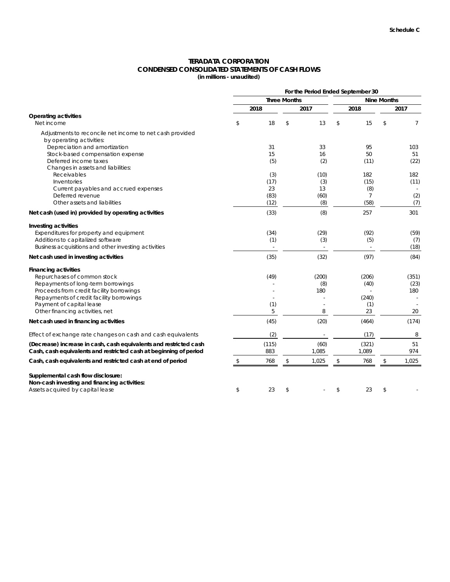#### **TERADATA CORPORATION CONDENSED CONSOLIDATED STATEMENTS OF CASH FLOWS (in millions - unaudited)**

|                                                                   | For the Period Ended September 30         |       |      |                          |    |                |    |                |
|-------------------------------------------------------------------|-------------------------------------------|-------|------|--------------------------|----|----------------|----|----------------|
|                                                                   | <b>Three Months</b><br><b>Nine Months</b> |       |      |                          |    |                |    |                |
|                                                                   |                                           | 2018  | 2017 |                          |    | 2018           |    | 2017           |
| <b>Operating activities</b>                                       |                                           |       |      |                          |    |                |    |                |
| Net income                                                        | \$                                        | 18    | \$   | 13                       | \$ | 15             | \$ | $\overline{7}$ |
| Adjustments to reconcile net income to net cash provided          |                                           |       |      |                          |    |                |    |                |
| by operating activities:                                          |                                           |       |      |                          |    |                |    |                |
| Depreciation and amortization                                     |                                           | 31    |      | 33                       |    | 95             |    | 103            |
| Stock-based compensation expense                                  |                                           | 15    |      | 16                       |    | 50             |    | 51             |
| Deferred income taxes                                             |                                           | (5)   |      | (2)                      |    | (11)           |    | (22)           |
| Changes in assets and liabilities:                                |                                           |       |      |                          |    |                |    |                |
| Receivables                                                       |                                           | (3)   |      | (10)                     |    | 182            |    | 182            |
| Inventories                                                       |                                           | (17)  |      | (3)                      |    | (15)           |    | (11)           |
| Current payables and accrued expenses                             |                                           | 23    |      | 13                       |    | (8)            |    |                |
| Deferred revenue                                                  |                                           | (83)  |      | (60)                     |    | $\overline{7}$ |    | (2)            |
| Other assets and liabilities                                      |                                           | (12)  |      | (8)                      |    | (58)           |    | (7)            |
| Net cash (used in) provided by operating activities               |                                           | (33)  |      | (8)                      |    | 257            |    | 301            |
| Investing activities                                              |                                           |       |      |                          |    |                |    |                |
| Expenditures for property and equipment                           |                                           | (34)  |      | (29)                     |    | (92)           |    | (59)           |
| Additions to capitalized software                                 |                                           | (1)   |      | (3)                      |    | (5)            |    | (7)            |
| Business acquisitions and other investing activities              |                                           |       |      | $\overline{\phantom{a}}$ |    | $\sim$         |    | (18)           |
| Net cash used in investing activities                             |                                           | (35)  |      | (32)                     |    | (97)           |    | (84)           |
| <b>Financing activities</b>                                       |                                           |       |      |                          |    |                |    |                |
| Repurchases of common stock                                       |                                           | (49)  |      | (200)                    |    | (206)          |    | (351)          |
| Repayments of long-term borrowings                                |                                           |       |      | (8)                      |    | (40)           |    | (23)           |
| Proceeds from credit facility borrowings                          |                                           |       |      | 180                      |    |                |    | 180            |
| Repayments of credit facility borrowings                          |                                           |       |      |                          |    | (240)          |    |                |
| Payment of capital lease                                          |                                           | (1)   |      |                          |    | (1)            |    |                |
| Other financing activities, net                                   |                                           | 5     |      | 8                        |    | 23             |    | 20             |
| Net cash used in financing activities                             |                                           | (45)  |      | (20)                     |    | (464)          |    | (174)          |
| Effect of exchange rate changes on cash and cash equivalents      |                                           | (2)   |      |                          |    | (17)           |    | 8              |
| (Decrease) increase in cash, cash equivalents and restricted cash |                                           | (115) |      | (60)                     |    | (321)          |    | 51             |
| Cash, cash equivalents and restricted cash at beginning of period |                                           | 883   |      | 1,085                    |    | 1,089          |    | 974            |
| Cash, cash equivalents and restricted cash at end of period       | \$                                        | 768   | \$   | 1,025                    | \$ | 768            | \$ | 1,025          |
| Supplemental cash flow disclosure:                                |                                           |       |      |                          |    |                |    |                |
| Non-cash investing and financing activities:                      |                                           |       |      |                          |    |                |    |                |
| Assets acquired by capital lease                                  | \$                                        | 23    | \$   |                          | \$ | 23             | \$ |                |